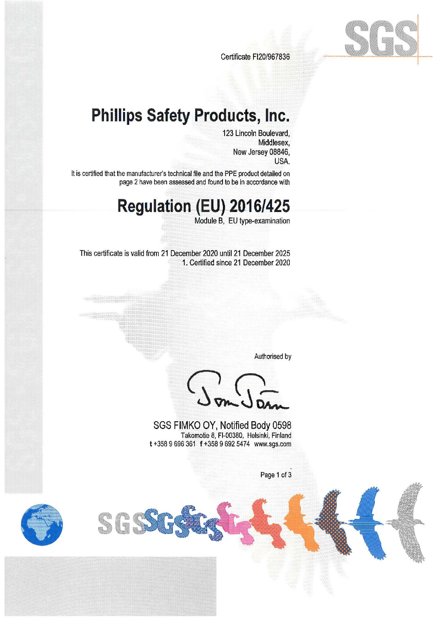

Certificate FI20/967836

### **Phillips Safety Products, Inc.**

123 Lincoln Boulevard, Middlesex, New Jersey 08846, USA.

It is certified that the manufacturer's technical file and the PPE product detailed on page 2 have been assessed and found to be in accordance with

# **Regulation (EU)-20-16/425**

Module B, EU type-examination

This certificate is valid from 21 December 2020 until 21 December 2025 1. Certified since 21 December 2020

Authorised by

SGS FIMKO OY, Notified Body 0598 Takornotie 8, Fl-00380, Helsinki, Finland **t** +358 9 696 361 **f** +358 9 692 5474 www.sgs.com

Page 1 of 3



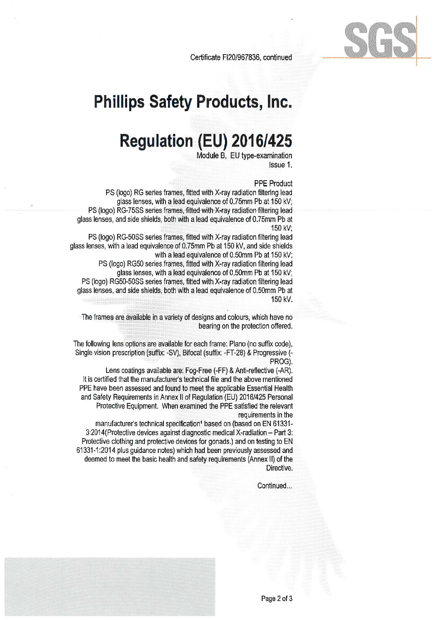



## **Regulation (EU) 2016/425**

Module B, EU type-examination Issue 1.

#### **PPE** Product

1902

PS (logo) RG series frames, fitted with X-ray radiation filtering lead glass lenses, with a lead equivalence of 0.75mm Pb at 150 kV; PS (logo) RG-75SS series frames, fitted with X-ray radiation filtering lead glass lenses, and side shields, both with a lead equivalence of 0.75mm Pb at 150 kV;

PS (logo) RG-50SS series frames, fitted with X-ray radiation filtering lead glass lenses, with a lead equivalence of 0.75mm Pb at 150 kV, and side shields with a lead equivalence of 0.50mm Pb at 150 kV;

PS {logo) RG50 series frames, fitted with X-ray radiation filtering lead glass lenses, with a lead equivalence of 0.50mm Pb at 150 kV; PS (logo) RG50-50SS series frames, fitted with X-ray radiation filtering lead glass lenses, and side shields, both with a lead equivalence of 0.50mm Pb at 150 kV.

The frames are available in a variety of designs and colours, which have no bearing on the protection offered.

The following lens options are available for each frame: Plano {no suffix code), Single vision prescription {suffix: -SV), Bifocal (suffix: -FT-28) & Progressive (- PROG).

Lens coatings available are: Fog-Free (-FF) & Anti-reflective {-AR). It is certified that the manufacturer's technical file and the above mentioned PPE have been assessed and found to meet the applicable Essential Health and Safety Requirements in Annex II of Regulation (EU) 2016/425 Personal Protective Equipment. When examined the PPE satisfied the relevant requirements in the

manufacturer's technical specification<sup>1</sup> based on (based on EN 61331-3:2014(Protective devices against diagnostic medical X-radiation - Part 3: Protective clothing and protective devices for gonads.) and on testing to EN 61331-1 :2014 plus guidance notes) which had been previously assessed and deemed to meet the basic health and safety requirements (Annex 11) of the Directive.

Continued...